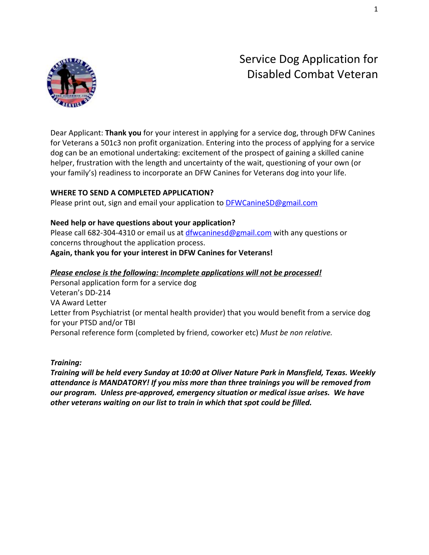

Dear Applicant: **Thank you** for your interest in applying for a service dog, through DFW Canines for Veterans a 501c3 non profit organization. Entering into the process of applying for a service dog can be an emotional undertaking: excitement of the prospect of gaining a skilled canine helper, frustration with the length and uncertainty of the wait, questioning of your own (or your family's) readiness to incorporate an DFW Canines for Veterans dog into your life.

### **WHERE TO SEND A COMPLETED APPLICATION?**

Please print out, sign and email your application to [DFWCanineSD@gmail.com](mailto:DFWCanineSD@gmail.com)

### **[N](mailto:DFWCanineSD@gmail.com)eed help or have questions about your application?**

Please call 682-304-4310 or email us at *dfwcaninesd@gmail.com* with any questions or concerns throughout the application process.

**Again, thank you for your interest in DFW Canines for Veterans!**

### *Please enclose is the following: Incomplete applications will not be processed!*

Personal application form for a service dog Veteran's DD-214 VA Award Letter Letter from Psychiatrist (or mental health provider) that you would benefit from a service dog for your PTSD and/or TBI Personal reference form (completed by friend, coworker etc) *Must be non relative.*

### *Training:*

*Training will be held every Sunday at 10:00 at Oliver Nature Park in Mansfield, Texas. Weekly attendance is MANDATORY! If you miss more than three trainings you will be removed from our program. Unless pre-approved, emergency situation or medical issue arises. We have other veterans waiting on our list to train in which that spot could be filled.*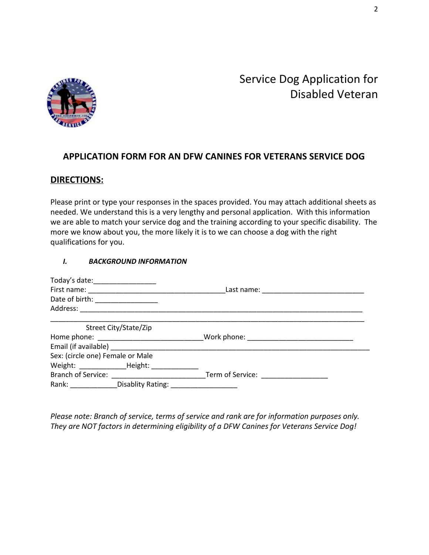

### **APPLICATION FORM FOR AN DFW CANINES FOR VETERANS SERVICE DOG**

### **DIRECTIONS:**

Please print or type your responses in the spaces provided. You may attach additional sheets as needed. We understand this is a very lengthy and personal application. With this information we are able to match your service dog and the training according to your specific disability. The more we know about you, the more likely it is to we can choose a dog with the right qualifications for you.

#### *I. BACKGROUND INFORMATION*

| Today's date: ___________________ |                                                      |                                                                                                                |  |
|-----------------------------------|------------------------------------------------------|----------------------------------------------------------------------------------------------------------------|--|
| Date of birth: _________________  |                                                      |                                                                                                                |  |
|                                   |                                                      |                                                                                                                |  |
|                                   |                                                      |                                                                                                                |  |
|                                   | Street City/State/Zip                                |                                                                                                                |  |
|                                   |                                                      |                                                                                                                |  |
|                                   |                                                      |                                                                                                                |  |
| Sex: (circle one) Female or Male  |                                                      |                                                                                                                |  |
|                                   |                                                      |                                                                                                                |  |
|                                   |                                                      | Term of Service: Network and Service and Service and Service and Service and Service and Service and Service a |  |
|                                   | Rank: Disablity Rating: 2008. [19] Disablity Rating: |                                                                                                                |  |

*Please note: Branch of service, terms of service and rank are for information purposes only. They are NOT factors in determining eligibility of a DFW Canines for Veterans Service Dog!*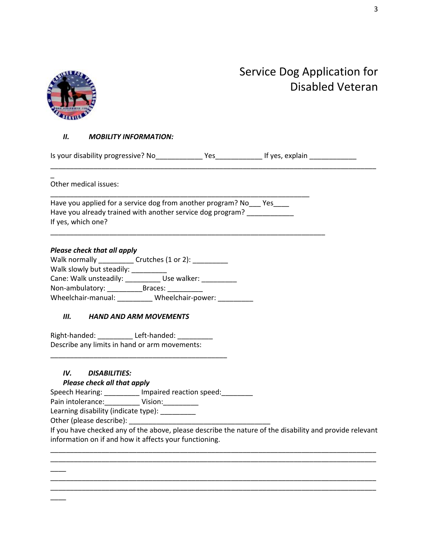

### *II. MOBILITY INFORMATION:*

Is your disability progressive? No\_\_\_\_\_\_\_\_\_\_\_\_\_\_\_Yes\_\_\_\_\_\_\_\_\_\_\_\_\_\_\_\_\_If yes, explain \_\_\_\_\_\_\_\_\_\_\_\_\_\_\_ \_\_\_\_\_\_\_\_\_\_\_\_\_\_\_\_\_\_\_\_\_\_\_\_\_\_\_\_\_\_\_\_\_\_\_\_\_\_\_\_\_\_\_\_\_\_\_\_\_\_\_\_\_\_\_\_\_\_\_\_\_\_\_\_\_\_\_\_\_\_\_\_\_\_\_\_\_\_\_\_\_\_\_

 $\overline{a}$ Other medical issues:

Have you applied for a service dog from another program? No\_\_\_ Yes\_\_\_\_ Have you already trained with another service dog program? If yes, which one?

\_\_\_\_\_\_\_\_\_\_\_\_\_\_\_\_\_\_\_\_\_\_\_\_\_\_\_\_\_\_\_\_\_\_\_\_\_\_\_\_\_\_\_\_\_\_\_\_\_\_\_\_\_\_\_\_\_\_\_\_\_\_\_\_\_\_

\_\_\_\_\_\_\_\_\_\_\_\_\_\_\_\_\_\_\_\_\_\_\_\_\_\_\_\_\_\_\_\_\_\_\_\_\_\_\_\_\_\_\_\_\_\_\_\_\_\_\_\_\_\_\_\_\_\_\_\_\_\_\_\_\_\_\_\_\_\_

#### *Please check that all apply*

| Walk normally             | Crutches (1 or 2): |
|---------------------------|--------------------|
| Walk slowly but steadily: |                    |
| Cane: Walk unsteadily:    | Use walker:        |
| Non-ambulatory:           | Braces:            |
| Wheelchair-manual:        | Wheelchair-power:  |

#### *III. HAND AND ARM MOVEMENTS*

Right-handed: Left-handed: Describe any limits in hand or arm movements:

\_\_\_\_\_\_\_\_\_\_\_\_\_\_\_\_\_\_\_\_\_\_\_\_\_\_\_\_\_\_\_\_\_\_\_\_\_\_\_\_\_\_\_\_\_

### *IV. DISABILITIES:*

#### *Please check all that apply*

Speech Hearing: \_\_\_\_\_\_\_\_\_ Impaired reaction speed: \_\_\_\_\_\_\_\_

Pain intolerance:\_\_\_\_\_\_\_\_\_ Vision:\_\_\_\_\_\_\_\_\_ Learning disability (indicate type): \_\_\_\_\_\_\_\_\_

Other (please describe): \_\_\_\_\_\_\_

 $\overline{\phantom{a}}$ 

 $\overline{\phantom{a}}$ 

If you have checked any of the above, please describe the nature of the disability and provide relevant information on if and how it affects your functioning.

\_\_\_\_\_\_\_\_\_\_\_\_\_\_\_\_\_\_\_\_\_\_\_\_\_\_\_\_\_\_\_\_\_\_\_\_\_\_\_\_\_\_\_\_\_\_\_\_\_\_\_\_\_\_\_\_\_\_\_\_\_\_\_\_\_\_\_\_\_\_\_\_\_\_\_\_\_\_\_\_\_\_\_ \_\_\_\_\_\_\_\_\_\_\_\_\_\_\_\_\_\_\_\_\_\_\_\_\_\_\_\_\_\_\_\_\_\_\_\_\_\_\_\_\_\_\_\_\_\_\_\_\_\_\_\_\_\_\_\_\_\_\_\_\_\_\_\_\_\_\_\_\_\_\_\_\_\_\_\_\_\_\_\_\_\_\_

\_\_\_\_\_\_\_\_\_\_\_\_\_\_\_\_\_\_\_\_\_\_\_\_\_\_\_\_\_\_\_\_\_\_\_\_\_\_\_\_\_\_\_\_\_\_\_\_\_\_\_\_\_\_\_\_\_\_\_\_\_\_\_\_\_\_\_\_\_\_\_\_\_\_\_\_\_\_\_\_\_\_\_ \_\_\_\_\_\_\_\_\_\_\_\_\_\_\_\_\_\_\_\_\_\_\_\_\_\_\_\_\_\_\_\_\_\_\_\_\_\_\_\_\_\_\_\_\_\_\_\_\_\_\_\_\_\_\_\_\_\_\_\_\_\_\_\_\_\_\_\_\_\_\_\_\_\_\_\_\_\_\_\_\_\_\_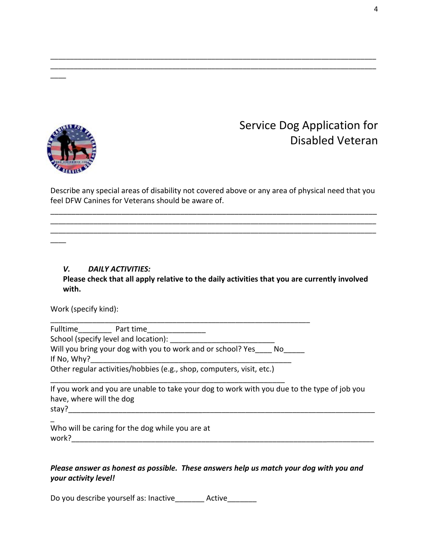

 $\overline{\phantom{a}}$ 

 $\overline{\phantom{a}}$ 

## Service Dog Application for Disabled Veteran

Describe any special areas of disability not covered above or any area of physical need that you feel DFW Canines for Veterans should be aware of.

\_\_\_\_\_\_\_\_\_\_\_\_\_\_\_\_\_\_\_\_\_\_\_\_\_\_\_\_\_\_\_\_\_\_\_\_\_\_\_\_\_\_\_\_\_\_\_\_\_\_\_\_\_\_\_\_\_\_\_\_\_\_\_\_\_\_\_\_\_\_\_\_\_\_\_\_\_\_ \_\_\_\_\_\_\_\_\_\_\_\_\_\_\_\_\_\_\_\_\_\_\_\_\_\_\_\_\_\_\_\_\_\_\_\_\_\_\_\_\_\_\_\_\_\_\_\_\_\_\_\_\_\_\_\_\_\_\_\_\_\_\_\_\_\_\_\_\_\_\_\_\_\_\_\_\_\_\_\_\_\_\_ \_\_\_\_\_\_\_\_\_\_\_\_\_\_\_\_\_\_\_\_\_\_\_\_\_\_\_\_\_\_\_\_\_\_\_\_\_\_\_\_\_\_\_\_\_\_\_\_\_\_\_\_\_\_\_\_\_\_\_\_\_\_\_\_\_\_\_\_\_\_\_\_\_\_\_\_\_\_\_\_\_\_\_

\_\_\_\_\_\_\_\_\_\_\_\_\_\_\_\_\_\_\_\_\_\_\_\_\_\_\_\_\_\_\_\_\_\_\_\_\_\_\_\_\_\_\_\_\_\_\_\_\_\_\_\_\_\_\_\_\_\_\_\_\_\_\_\_\_\_\_\_\_\_\_\_\_\_\_\_\_\_\_\_\_\_\_ \_\_\_\_\_\_\_\_\_\_\_\_\_\_\_\_\_\_\_\_\_\_\_\_\_\_\_\_\_\_\_\_\_\_\_\_\_\_\_\_\_\_\_\_\_\_\_\_\_\_\_\_\_\_\_\_\_\_\_\_\_\_\_\_\_\_\_\_\_\_\_\_\_\_\_\_\_\_\_\_\_\_\_

*V. DAILY ACTIVITIES:*

### **Please check that all apply relative to the daily activities that you are currently involved with.**

Work (specify kind):

Fulltime\_\_\_\_\_\_\_\_\_\_\_\_ Part time\_\_\_\_\_\_\_\_\_\_\_\_\_\_\_\_\_\_

School (specify level and location):

Will you bring your dog with you to work and or school? Yes Mo If No, Why?\_\_\_\_\_\_\_\_\_\_\_\_\_\_\_\_\_\_\_\_\_\_\_\_\_\_\_\_\_\_\_\_\_\_\_\_\_\_\_\_\_\_\_\_\_\_\_\_

\_\_\_\_\_\_\_\_\_\_\_\_\_\_\_\_\_\_\_\_\_\_\_\_\_\_\_\_\_\_\_\_\_\_\_\_\_\_\_\_\_\_\_\_\_\_\_\_\_\_\_\_\_\_\_\_\_\_\_\_\_\_\_\_\_

Other regular activities/hobbies (e.g., shop, computers, visit, etc.)

\_\_\_\_\_\_\_\_\_\_\_\_\_\_\_\_\_\_\_\_\_\_\_\_\_\_\_\_\_\_\_\_\_\_\_\_\_\_\_\_\_\_\_\_\_\_\_\_\_\_\_\_\_\_\_\_

If you work and you are unable to take your dog to work with you due to the type of job you have, where will the dog stay?\_\_\_\_\_\_\_\_\_\_\_\_\_\_\_\_\_\_\_\_\_\_\_\_\_\_\_\_\_\_\_\_\_\_\_\_\_\_\_\_\_\_\_\_\_\_\_\_\_\_\_\_\_\_\_\_\_\_\_\_\_\_\_\_\_\_\_\_\_\_\_\_\_\_\_\_

 $\overline{a}$ 

Who will be caring for the dog while you are at work?\_\_\_\_\_\_\_\_\_\_\_\_\_\_\_\_\_\_\_\_\_\_\_\_\_\_\_\_\_\_\_\_\_\_\_\_\_\_\_\_\_\_\_\_\_\_\_\_\_\_\_\_\_\_\_\_\_\_\_\_\_\_\_\_\_\_\_\_\_\_\_\_\_

### *Please answer as honest as possible. These answers help us match your dog with you and your activity level!*

Do you describe yourself as: Inactive The Active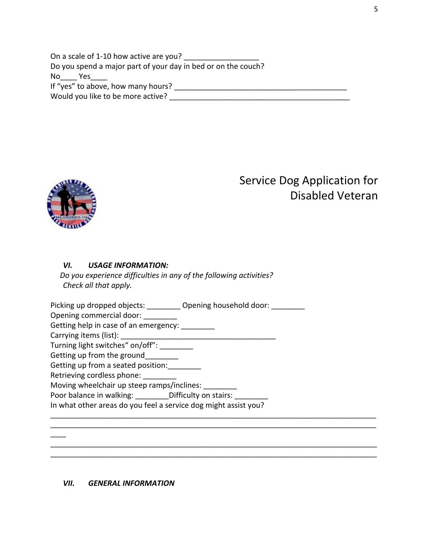On a scale of 1-10 how active are you? Do you spend a major part of your day in bed or on the couch? No\_\_\_\_ Yes\_\_\_\_ If "yes" to above, how many hours? \_\_\_\_\_\_\_\_\_\_\_\_\_\_\_\_\_\_\_\_\_\_\_\_\_\_\_\_\_\_\_\_\_\_\_\_\_\_\_\_\_\_ Would you like to be more active? Mould you like to be more active?



 $\overline{\phantom{a}}$ 

# Service Dog Application for Disabled Veteran

### *VI. USAGE INFORMATION:*

 *Do you experience difficulties in any of the following activities? Check all that apply.*

Picking up dropped objects: \_\_\_\_\_\_\_\_\_ Opening household door: \_\_\_\_\_\_\_\_\_ Opening commercial door: \_\_\_\_\_\_\_\_ Getting help in case of an emergency: \_\_\_\_\_\_\_\_ Carrying items (list): \_\_\_\_\_\_\_\_\_\_\_\_\_\_\_\_\_\_\_\_\_\_\_\_\_\_\_\_\_\_\_\_\_\_\_\_\_ Turning light switches" on/off": \_\_\_\_\_\_\_\_ Getting up from the ground Getting up from a seated position: Retrieving cordless phone: Moving wheelchair up steep ramps/inclines: Poor balance in walking: \_\_\_\_\_\_\_\_\_Difficulty on stairs: \_\_\_\_\_\_\_\_ In what other areas do you feel a service dog might assist you? \_\_\_\_\_\_\_\_\_\_\_\_\_\_\_\_\_\_\_\_\_\_\_\_\_\_\_\_\_\_\_\_\_\_\_\_\_\_\_\_\_\_\_\_\_\_\_\_\_\_\_\_\_\_\_\_\_\_\_\_\_\_\_\_\_\_\_\_\_\_\_\_\_\_\_\_\_\_\_\_\_\_\_ \_\_\_\_\_\_\_\_\_\_\_\_\_\_\_\_\_\_\_\_\_\_\_\_\_\_\_\_\_\_\_\_\_\_\_\_\_\_\_\_\_\_\_\_\_\_\_\_\_\_\_\_\_\_\_\_\_\_\_\_\_\_\_\_\_\_\_\_\_\_\_\_\_\_\_\_\_\_\_\_\_\_\_

\_\_\_\_\_\_\_\_\_\_\_\_\_\_\_\_\_\_\_\_\_\_\_\_\_\_\_\_\_\_\_\_\_\_\_\_\_\_\_\_\_\_\_\_\_\_\_\_\_\_\_\_\_\_\_\_\_\_\_\_\_\_\_\_\_\_\_\_\_\_\_\_\_\_\_\_\_\_ \_\_\_\_\_\_\_\_\_\_\_\_\_\_\_\_\_\_\_\_\_\_\_\_\_\_\_\_\_\_\_\_\_\_\_\_\_\_\_\_\_\_\_\_\_\_\_\_\_\_\_\_\_\_\_\_\_\_\_\_\_\_\_\_\_\_\_\_\_\_\_\_\_\_\_\_\_\_

### *VII. GENERAL INFORMATION*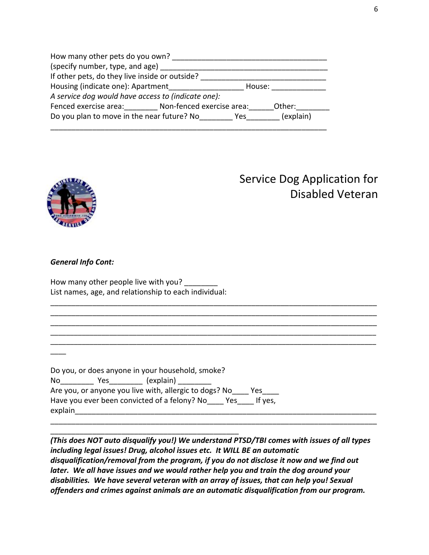| How many other pets do you own?                           |           |  |
|-----------------------------------------------------------|-----------|--|
| (specify number, type, and age)                           |           |  |
| If other pets, do they live inside or outside?            |           |  |
| Housing (indicate one): Apartment                         | House:    |  |
| A service dog would have access to (indicate one):        |           |  |
| Fenced exercise area: Non-fenced exercise area:<br>Other: |           |  |
| Do you plan to move in the near future? No<br>Yes.        | (explain) |  |
|                                                           |           |  |



### *General Info Cont:*

 $\overline{\phantom{a}}$ 

How many other people live with you? List names, age, and relationship to each individual:

|         |     | Do you, or does anyone in your household, smoke?       |     |         |  |
|---------|-----|--------------------------------------------------------|-----|---------|--|
| No.     | Yes | (explain)                                              |     |         |  |
|         |     | Are you, or anyone you live with, allergic to dogs? No |     | Yes.    |  |
|         |     | Have you ever been convicted of a felony? No           | Yes | If yes. |  |
| explain |     |                                                        |     |         |  |

\_\_\_\_\_\_\_\_\_\_\_\_\_\_\_\_\_\_\_\_\_\_\_\_\_\_\_\_\_\_\_\_\_\_\_\_\_\_\_\_\_\_\_\_\_

*(This does NOT auto disqualify you!) We understand PTSD/TBI comes with issues of all types including legal issues! Drug, alcohol issues etc. It WILL BE an automatic disqualification/removal from the program, if you do not disclose it now and we find out later. We all have issues and we would rather help you and train the dog around your disabilities. We have several veteran with an array of issues, that can help you! Sexual offenders and crimes against animals are an automatic disqualification from our program.*

\_\_\_\_\_\_\_\_\_\_\_\_\_\_\_\_\_\_\_\_\_\_\_\_\_\_\_\_\_\_\_\_\_\_\_\_\_\_\_\_\_\_\_\_\_\_\_\_\_\_\_\_\_\_\_\_\_\_\_\_\_\_\_\_\_\_\_\_\_\_\_\_\_\_\_\_\_\_

\_\_\_\_\_\_\_\_\_\_\_\_\_\_\_\_\_\_\_\_\_\_\_\_\_\_\_\_\_\_\_\_\_\_\_\_\_\_\_\_\_\_\_\_\_\_\_\_\_\_\_\_\_\_\_\_\_\_\_\_\_\_\_\_\_\_\_\_\_\_\_\_\_\_\_\_\_\_ \_\_\_\_\_\_\_\_\_\_\_\_\_\_\_\_\_\_\_\_\_\_\_\_\_\_\_\_\_\_\_\_\_\_\_\_\_\_\_\_\_\_\_\_\_\_\_\_\_\_\_\_\_\_\_\_\_\_\_\_\_\_\_\_\_\_\_\_\_\_\_\_\_\_\_\_\_\_ \_\_\_\_\_\_\_\_\_\_\_\_\_\_\_\_\_\_\_\_\_\_\_\_\_\_\_\_\_\_\_\_\_\_\_\_\_\_\_\_\_\_\_\_\_\_\_\_\_\_\_\_\_\_\_\_\_\_\_\_\_\_\_\_\_\_\_\_\_\_\_\_\_\_\_\_\_\_ \_\_\_\_\_\_\_\_\_\_\_\_\_\_\_\_\_\_\_\_\_\_\_\_\_\_\_\_\_\_\_\_\_\_\_\_\_\_\_\_\_\_\_\_\_\_\_\_\_\_\_\_\_\_\_\_\_\_\_\_\_\_\_\_\_\_\_\_\_\_\_\_\_\_\_\_\_\_\_\_\_\_\_ \_\_\_\_\_\_\_\_\_\_\_\_\_\_\_\_\_\_\_\_\_\_\_\_\_\_\_\_\_\_\_\_\_\_\_\_\_\_\_\_\_\_\_\_\_\_\_\_\_\_\_\_\_\_\_\_\_\_\_\_\_\_\_\_\_\_\_\_\_\_\_\_\_\_\_\_\_\_\_\_\_\_\_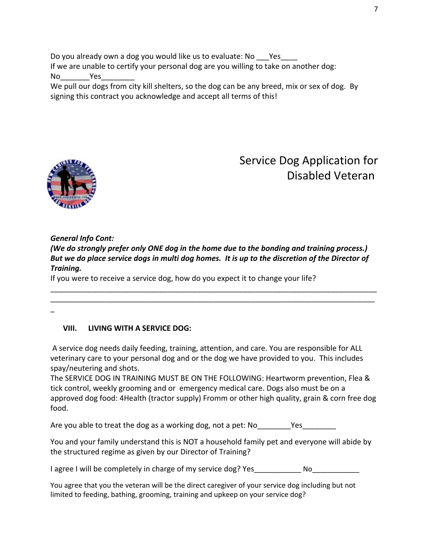Do you already own a dog you would like us to evaluate: No Yes If we are unable to certify your personal dog are you willing to take on another dog: No<sup>No</sup>

We pull our dogs from city kill shelters, so the dog can be any breed, mix or sex of dog. By signing this contract you acknowledge and accept all terms of this!



### Service Dog Application for Disabled Veteran

### *General Info Cont: (We do strongly prefer only ONE dog in the home due to the bonding and training process.) But we do place service dogs in multi dog homes. It is up to the discretion of the Director of Training.*

\_\_\_\_\_\_\_\_\_\_\_\_\_\_\_\_\_\_\_\_\_\_\_\_\_\_\_\_\_\_\_\_\_\_\_\_\_\_\_\_\_\_\_\_\_\_\_\_\_\_\_\_\_\_\_\_\_\_\_\_\_\_\_\_\_\_\_\_\_\_\_\_\_\_\_\_\_\_ \_\_\_\_\_\_\_\_\_\_\_\_\_\_\_\_\_\_\_\_\_\_\_\_\_\_\_\_\_\_\_\_\_\_\_\_\_\_\_\_\_\_\_\_\_\_\_\_\_\_\_\_\_\_\_\_\_\_\_\_\_\_\_\_\_\_\_\_\_\_\_\_\_\_\_\_\_\_\_

If you were to receive a service dog, how do you expect it to change your life?

### \_

### **VIII. LIVING WITH A SERVICE DOG:**

 A service dog needs daily feeding, training, attention, and care. You are responsible for ALL veterinary care to your personal dog and or the dog we have provided to you. This includes spay/neutering and shots.

The SERVICE DOG IN TRAINING MUST BE ON THE FOLLOWING: Heartworm prevention, Flea & tick control, weekly grooming and or emergency medical care. Dogs also must be on a approved dog food: 4Health (tractor supply) Fromm or other high quality, grain & corn free dog food.

Are you able to treat the dog as a working dog, not a pet: No Thes

You and your family understand this is NOT a household family pet and everyone will abide by the structured regime as given by our Director of Training?

I agree I will be completely in charge of my service dog? Yes No

You agree that you the veteran will be the direct caregiver of your service dog including but not limited to feeding, bathing, grooming, training and upkeep on your service dog?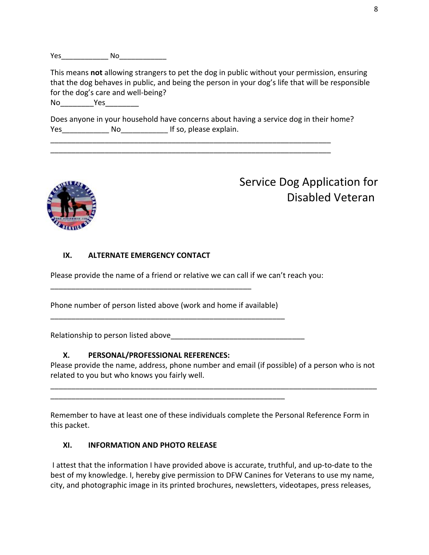Yes\_\_\_\_\_\_\_\_\_\_\_\_ No\_\_\_\_\_\_\_\_\_\_\_\_

This means **not** allowing strangers to pet the dog in public without your permission, ensuring that the dog behaves in public, and being the person in your dog's life that will be responsible for the dog's care and well-being?

No<sup>November</sup> 2008

Does anyone in your household have concerns about having a service dog in their home? Yes\_\_\_\_\_\_\_\_\_\_\_\_ No\_\_\_\_\_\_\_\_\_\_\_\_ If so, please explain.

\_\_\_\_\_\_\_\_\_\_\_\_\_\_\_\_\_\_\_\_\_\_\_\_\_\_\_\_\_\_\_\_\_\_\_\_\_\_\_\_\_\_\_\_\_\_\_\_\_\_\_\_\_\_\_\_\_\_\_\_\_\_\_\_\_\_\_ \_\_\_\_\_\_\_\_\_\_\_\_\_\_\_\_\_\_\_\_\_\_\_\_\_\_\_\_\_\_\_\_\_\_\_\_\_\_\_\_\_\_\_\_\_\_\_\_\_\_\_\_\_\_\_\_\_\_\_\_\_\_\_\_\_\_\_



# Service Dog Application for Disabled Veteran

### **IX. ALTERNATE EMERGENCY CONTACT**

Please provide the name of a friend or relative we can call if we can't reach you:

Phone number of person listed above (work and home if available) \_\_\_\_\_\_\_\_\_\_\_\_\_\_\_\_\_\_\_\_\_\_\_\_\_\_\_\_\_\_\_\_\_\_\_\_\_\_\_\_\_\_\_\_\_\_\_\_\_\_\_\_\_\_\_\_

\_\_\_\_\_\_\_\_\_\_\_\_\_\_\_\_\_\_\_\_\_\_\_\_\_\_\_\_\_\_\_\_\_\_\_\_\_\_\_\_\_\_\_\_\_\_\_\_

Relationship to person listed above

\_\_\_\_\_\_\_\_\_\_\_\_\_\_\_\_\_\_\_\_\_\_\_\_\_\_\_\_\_\_\_\_\_\_\_\_\_\_\_\_\_\_\_\_\_\_\_\_\_\_\_\_\_\_\_\_

### **X. PERSONAL/PROFESSIONAL REFERENCES:**

Please provide the name, address, phone number and email (if possible) of a person who is not related to you but who knows you fairly well.

\_\_\_\_\_\_\_\_\_\_\_\_\_\_\_\_\_\_\_\_\_\_\_\_\_\_\_\_\_\_\_\_\_\_\_\_\_\_\_\_\_\_\_\_\_\_\_\_\_\_\_\_\_\_\_\_\_\_\_\_\_\_\_\_\_\_\_\_\_\_\_\_\_\_\_\_\_\_

Remember to have at least one of these individuals complete the Personal Reference Form in this packet.

### **XI. INFORMATION AND PHOTO RELEASE**

 I attest that the information I have provided above is accurate, truthful, and up-to-date to the best of my knowledge. I, hereby give permission to DFW Canines for Veterans to use my name, city, and photographic image in its printed brochures, newsletters, videotapes, press releases,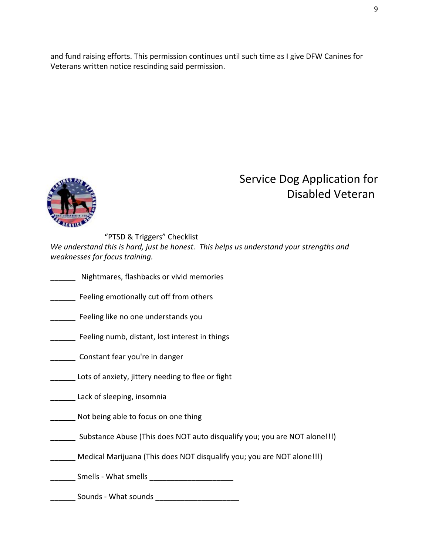and fund raising efforts. This permission continues until such time as I give DFW Canines for Veterans written notice rescinding said permission.



### Service Dog Application for Disabled Veteran

"PTSD & Triggers" Checklist *We understand this is hard, just be honest. This helps us understand your strengths and weaknesses for focus training.*

- \_\_\_\_\_\_ Nightmares, flashbacks or vivid memories
- Feeling emotionally cut off from others
- \_\_\_\_\_\_ Feeling like no one understands you
- \_\_\_\_\_\_ Feeling numb, distant, lost interest in things
- **\_\_\_\_\_\_** Constant fear you're in danger
- Lots of anxiety, jittery needing to flee or fight
- Lack of sleeping, insomnia
- Not being able to focus on one thing
- \_\_\_\_\_\_ Substance Abuse (This does NOT auto disqualify you; you are NOT alone!!!)
- Medical Marijuana (This does NOT disqualify you; you are NOT alone!!!)
- \_\_\_\_\_\_ Smells What smells \_\_\_\_\_\_\_\_\_\_\_\_\_\_\_\_\_\_\_\_
- \_\_\_\_\_\_ Sounds What sounds \_\_\_\_\_\_\_\_\_\_\_\_\_\_\_\_\_\_\_\_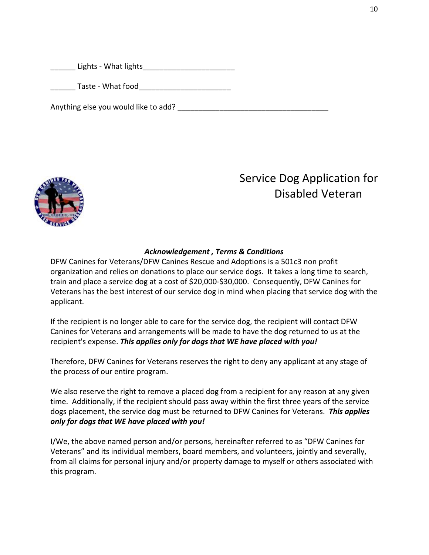Lights - What lights

Taste - What food

Anything else you would like to add?



# Service Dog Application for Disabled Veteran

### *Acknowledgement , Terms & Conditions*

DFW Canines for Veterans/DFW Canines Rescue and Adoptions is a 501c3 non profit organization and relies on donations to place our service dogs. It takes a long time to search, train and place a service dog at a cost of \$20,000-\$30,000. Consequently, DFW Canines for Veterans has the best interest of our service dog in mind when placing that service dog with the applicant.

If the recipient is no longer able to care for the service dog, the recipient will contact DFW Canines for Veterans and arrangements will be made to have the dog returned to us at the recipient's expense. *This applies only for dogs that WE have placed with you!*

Therefore, DFW Canines for Veterans reserves the right to deny any applicant at any stage of the process of our entire program.

We also reserve the right to remove a placed dog from a recipient for any reason at any given time. Additionally, if the recipient should pass away within the first three years of the service dogs placement, the service dog must be returned to DFW Canines for Veterans. *This applies only for dogs that WE have placed with you!*

I/We, the above named person and/or persons, hereinafter referred to as "DFW Canines for Veterans" and its individual members, board members, and volunteers, jointly and severally, from all claims for personal injury and/or property damage to myself or others associated with this program.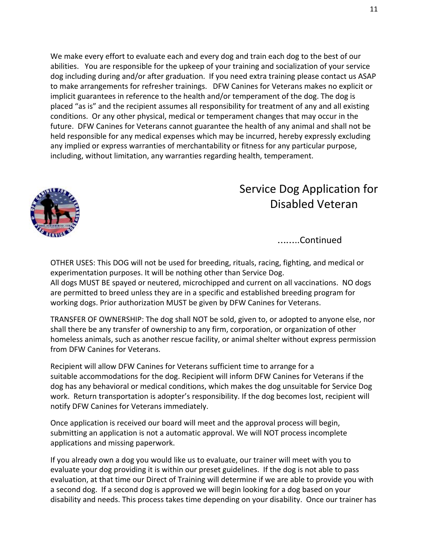We make every effort to evaluate each and every dog and train each dog to the best of our abilities. You are responsible for the upkeep of your training and socialization of your service dog including during and/or after graduation. If you need extra training please contact us ASAP to make arrangements for refresher trainings. DFW Canines for Veterans makes no explicit or implicit guarantees in reference to the health and/or temperament of the dog. The dog is placed "as is" and the recipient assumes all responsibility for treatment of any and all existing conditions. Or any other physical, medical or temperament changes that may occur in the future. DFW Canines for Veterans cannot guarantee the health of any animal and shall not be held responsible for any medical expenses which may be incurred, hereby expressly excluding any implied or express warranties of merchantability or fitness for any particular purpose, including, without limitation, any warranties regarding health, temperament.



### Service Dog Application for Disabled Veteran

……..Continued

OTHER USES: This DOG will not be used for breeding, rituals, racing, fighting, and medical or experimentation purposes. It will be nothing other than Service Dog. All dogs MUST BE spayed or neutered, microchipped and current on all vaccinations. NO dogs are permitted to breed unless they are in a specific and established breeding program for working dogs. Prior authorization MUST be given by DFW Canines for Veterans.

TRANSFER OF OWNERSHIP: The dog shall NOT be sold, given to, or adopted to anyone else, nor shall there be any transfer of ownership to any firm, corporation, or organization of other homeless animals, such as another rescue facility, or animal shelter without express permission from DFW Canines for Veterans.

Recipient will allow DFW Canines for Veterans sufficient time to arrange for a suitable accommodations for the dog. Recipient will inform DFW Canines for Veterans if the dog has any behavioral or medical conditions, which makes the dog unsuitable for Service Dog work. Return transportation is adopter's responsibility. If the dog becomes lost, recipient will notify DFW Canines for Veterans immediately.

Once application is received our board will meet and the approval process will begin, submitting an application is not a automatic approval. We will NOT process incomplete applications and missing paperwork.

If you already own a dog you would like us to evaluate, our trainer will meet with you to evaluate your dog providing it is within our preset guidelines. If the dog is not able to pass evaluation, at that time our Direct of Training will determine if we are able to provide you with a second dog. If a second dog is approved we will begin looking for a dog based on your disability and needs. This process takes time depending on your disability. Once our trainer has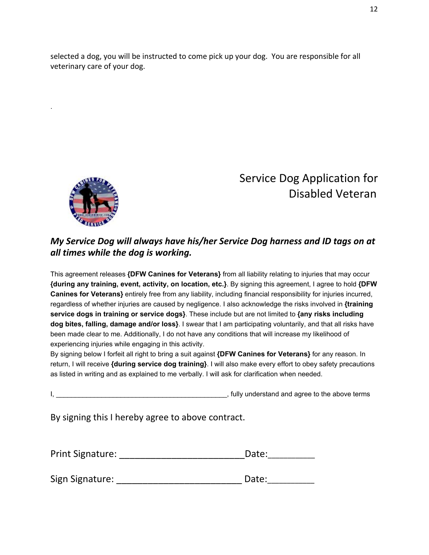selected a dog, you will be instructed to come pick up your dog. You are responsible for all veterinary care of your dog.



.

## Service Dog Application for Disabled Veteran

### *My Service Dog will always have his/her Service Dog harness and ID tags on at all times while the dog is working.*

This agreement releases **{DFW Canines for Veterans}** from all liability relating to injuries that may occur **{during any training, event, activity, on location, etc.}**. By signing this agreement, I agree to hold **{DFW Canines for Veterans}** entirely free from any liability, including financial responsibility for injuries incurred, regardless of whether injuries are caused by negligence. I also acknowledge the risks involved in **{training service dogs in training or service dogs}**. These include but are not limited to **{any risks including dog bites, falling, damage and/or loss}**. I swear that I am participating voluntarily, and that all risks have been made clear to me. Additionally, I do not have any conditions that will increase my likelihood of experiencing injuries while engaging in this activity.

By signing below I forfeit all right to bring a suit against **{DFW Canines for Veterans}** for any reason. In return, I will receive **{during service dog training}**. I will also make every effort to obey safety precautions as listed in writing and as explained to me verbally. I will ask for clarification when needed.

I, \_\_\_\_\_\_\_\_\_\_\_\_\_\_\_\_\_\_\_\_\_\_\_\_\_\_\_\_\_\_\_\_\_\_\_\_\_\_\_\_\_\_\_\_\_, fully understand and agree to the above terms

By signing this I hereby agree to above contract.

| <b>Print Signature:</b> | Date: |
|-------------------------|-------|
|-------------------------|-------|

| Sign Signature: | Date: |
|-----------------|-------|
|                 |       |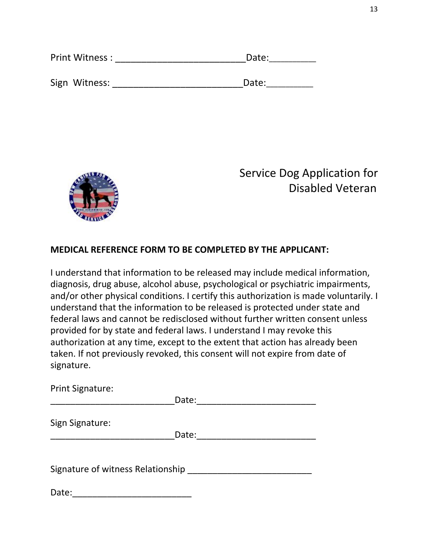| Print Witness: | Date: |
|----------------|-------|
|                |       |
| Sign Witness:  | Date: |



### **MEDICAL REFERENCE FORM TO BE COMPLETED BY THE APPLICANT:**

I understand that information to be released may include medical information, diagnosis, drug abuse, alcohol abuse, psychological or psychiatric impairments, and/or other physical conditions. I certify this authorization is made voluntarily. I understand that the information to be released is protected under state and federal laws and cannot be redisclosed without further written consent unless provided for by state and federal laws. I understand I may revoke this authorization at any time, except to the extent that action has already been taken. If not previously revoked, this consent will not expire from date of signature.

Print Signature: \_\_\_\_\_\_\_\_\_\_\_\_\_\_\_\_\_\_\_\_\_\_\_\_\_Date:\_\_\_\_\_\_\_\_\_\_\_\_\_\_\_\_\_\_\_\_\_\_\_\_ Sign Signature: \_\_\_\_\_\_\_\_\_\_\_\_\_\_\_\_\_\_\_\_\_\_\_\_\_Date:\_\_\_\_\_\_\_\_\_\_\_\_\_\_\_\_\_\_\_\_\_\_\_\_ Signature of witness Relationship \_\_\_\_\_\_\_\_\_\_\_\_\_\_\_\_\_\_\_\_\_\_\_\_\_

Date:\_\_\_\_\_\_\_\_\_\_\_\_\_\_\_\_\_\_\_\_\_\_\_\_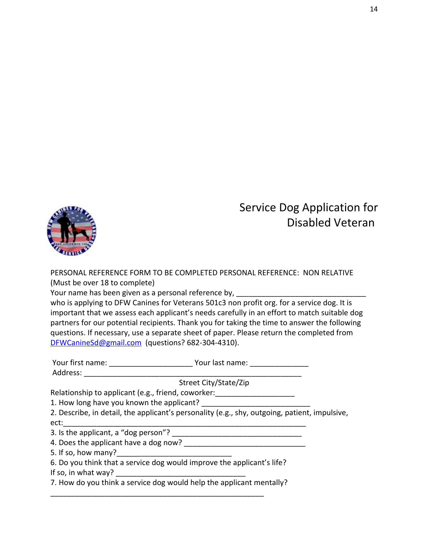

PERSONAL REFERENCE FORM TO BE COMPLETED PERSONAL REFERENCE: NON RELATIVE (Must be over 18 to complete)

Your name has been given as a personal reference by,

who is applying to DFW Canines for Veterans 501c3 non profit org. for a service dog. It is important that we assess each applicant's needs carefully in an effort to match suitable dog partners for our potential recipients. Thank you for taking the time to answer the following questions. If necessary, use a separate sheet of paper. Please return the completed from [DFWCanineSd@gmail.com](mailto:DFWCanineSd@gmail.com) (questions? 682-304-4310).

|                                                                        | Your last name:                                                                               |
|------------------------------------------------------------------------|-----------------------------------------------------------------------------------------------|
| Address:                                                               |                                                                                               |
|                                                                        | Street City/State/Zip                                                                         |
| Relationship to applicant (e.g., friend, coworker:                     |                                                                                               |
| 1. How long have you known the applicant?                              |                                                                                               |
|                                                                        | 2. Describe, in detail, the applicant's personality (e.g., shy, outgoing, patient, impulsive, |
| ect:                                                                   |                                                                                               |
| 3. Is the applicant, a "dog person"?                                   |                                                                                               |
| 4. Does the applicant have a dog now?                                  |                                                                                               |
| 5. If so, how many?                                                    |                                                                                               |
| 6. Do you think that a service dog would improve the applicant's life? |                                                                                               |
| If so, in what way?                                                    |                                                                                               |
| 7. How do you think a service dog would help the applicant mentally?   |                                                                                               |